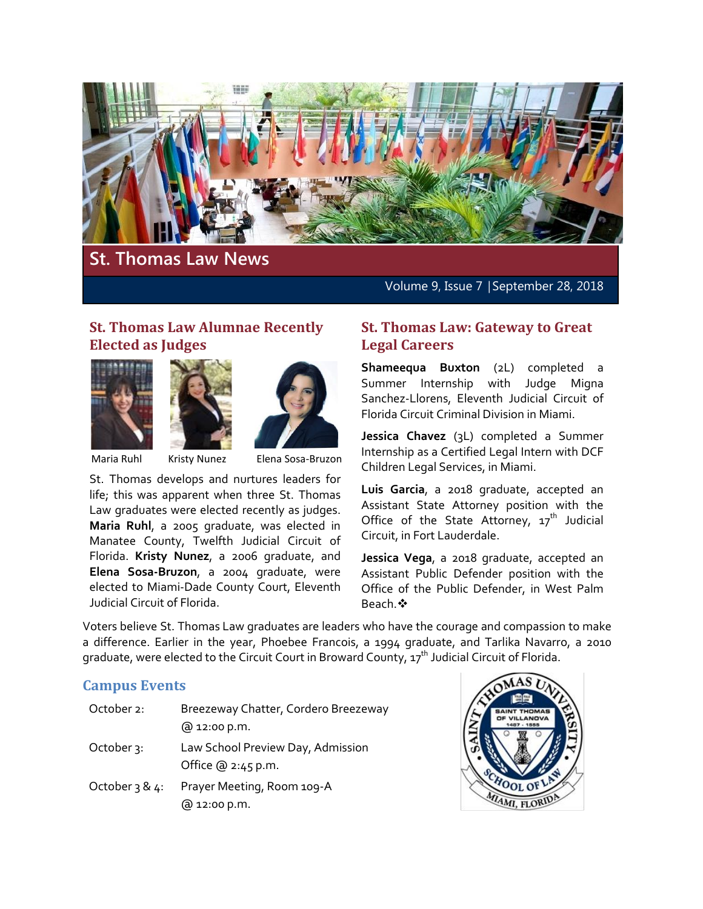

# **St. Thomas Law News**

Volume 9, Issue 7 | September 28, 2018

# **St. Thomas Law Alumnae Recently Elected as Judges**







Maria Ruhl Kristy Nunez Elena Sosa-Bruzon

St. Thomas develops and nurtures leaders for life; this was apparent when three St. Thomas Law graduates were elected recently as judges. **Maria Ruhl**, a 2005 graduate, was elected in Manatee County, Twelfth Judicial Circuit of Florida. **Kristy Nunez**, a 2006 graduate, and **Elena Sosa-Bruzon**, a 2004 graduate, were elected to Miami-Dade County Court, Eleventh Judicial Circuit of Florida.

#### **St. Thomas Law: Gateway to Great Legal Careers**

**Shameequa Buxton** (2L) completed a Summer Internship with Judge Migna Sanchez-Llorens, Eleventh Judicial Circuit of Florida Circuit Criminal Division in Miami.

**Jessica Chavez** (3L) completed a Summer Internship as a Certified Legal Intern with DCF Children Legal Services, in Miami.

**Luis Garcia**, a 2018 graduate, accepted an Assistant State Attorney position with the Office of the State Attorney,  $17<sup>th</sup>$  Judicial Circuit, in Fort Lauderdale.

**Jessica Vega**, a 2018 graduate, accepted an Assistant Public Defender position with the Office of the Public Defender, in West Palm Beach.

Voters believe St. Thomas Law graduates are leaders who have the courage and compassion to make a difference. Earlier in the year, Phoebee Francois, a 1994 graduate, and Tarlika Navarro, a 2010 graduate, were elected to the Circuit Court in Broward County,  $17<sup>th</sup>$  Judicial Circuit of Florida.

### **Campus Events**

| October 2:        | Breezeway Chatter, Cordero Breezeway<br>@ 12:00 p.m. |
|-------------------|------------------------------------------------------|
| October 3:        | Law School Preview Day, Admission                    |
|                   | Office $@2:45p.m.$                                   |
| October $3 & 4$ : | Prayer Meeting, Room 109-A<br>@ 12:00 p.m.           |

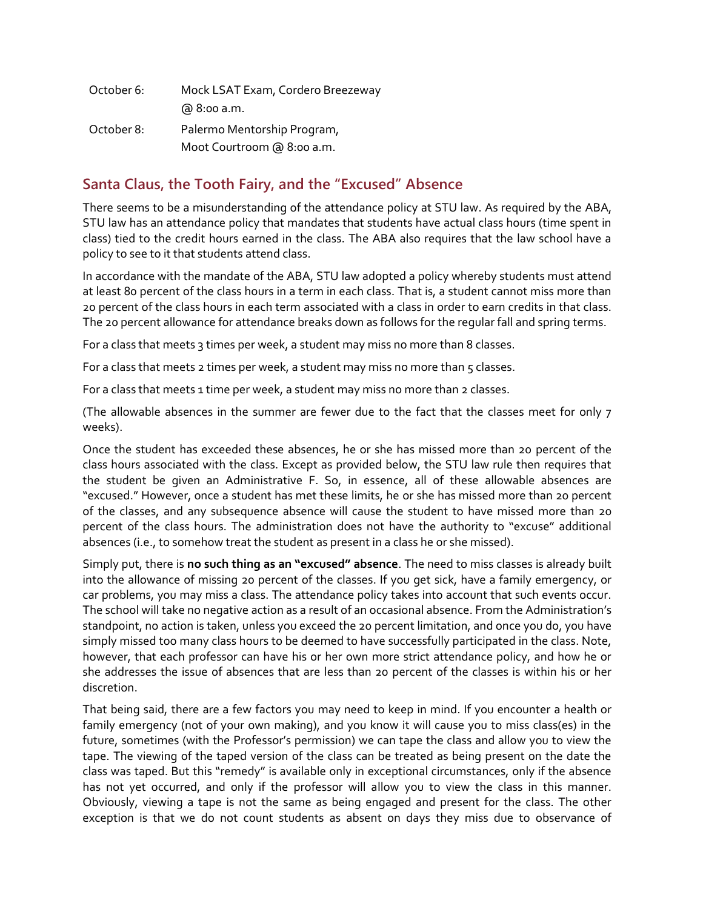| October 6: | Mock LSAT Exam, Cordero Breezeway |
|------------|-----------------------------------|
|            | @ 8:00 a.m.                       |
| October 8: | Palermo Mentorship Program,       |
|            | Moot Courtroom @ 8:00 a.m.        |

### **Santa Claus, the Tooth Fairy, and the "Excused" Absence**

There seems to be a misunderstanding of the attendance policy at STU law. As required by the ABA, STU law has an attendance policy that mandates that students have actual class hours (time spent in class) tied to the credit hours earned in the class. The ABA also requires that the law school have a policy to see to it that students attend class.

In accordance with the mandate of the ABA, STU law adopted a policy whereby students must attend at least 80 percent of the class hours in a term in each class. That is, a student cannot miss more than 20 percent of the class hours in each term associated with a class in order to earn credits in that class. The 20 percent allowance for attendance breaks down as follows for the regular fall and spring terms.

For a class that meets 3 times per week, a student may miss no more than 8 classes.

For a class that meets 2 times per week, a student may miss no more than 5 classes.

For a class that meets 1 time per week, a student may miss no more than 2 classes.

(The allowable absences in the summer are fewer due to the fact that the classes meet for only 7 weeks).

Once the student has exceeded these absences, he or she has missed more than 20 percent of the class hours associated with the class. Except as provided below, the STU law rule then requires that the student be given an Administrative F. So, in essence, all of these allowable absences are "excused." However, once a student has met these limits, he or she has missed more than 20 percent of the classes, and any subsequence absence will cause the student to have missed more than 20 percent of the class hours. The administration does not have the authority to "excuse" additional absences (i.e., to somehow treat the student as present in a class he or she missed).

Simply put, there is **no such thing as an "excused" absence**. The need to miss classes is already built into the allowance of missing 20 percent of the classes. If you get sick, have a family emergency, or car problems, you may miss a class. The attendance policy takes into account that such events occur. The school will take no negative action as a result of an occasional absence. From the Administration's standpoint, no action is taken, unless you exceed the 20 percent limitation, and once you do, you have simply missed too many class hours to be deemed to have successfully participated in the class. Note, however, that each professor can have his or her own more strict attendance policy, and how he or she addresses the issue of absences that are less than 20 percent of the classes is within his or her discretion.

That being said, there are a few factors you may need to keep in mind. If you encounter a health or family emergency (not of your own making), and you know it will cause you to miss class(es) in the future, sometimes (with the Professor's permission) we can tape the class and allow you to view the tape. The viewing of the taped version of the class can be treated as being present on the date the class was taped. But this "remedy" is available only in exceptional circumstances, only if the absence has not yet occurred, and only if the professor will allow you to view the class in this manner. Obviously, viewing a tape is not the same as being engaged and present for the class. The other exception is that we do not count students as absent on days they miss due to observance of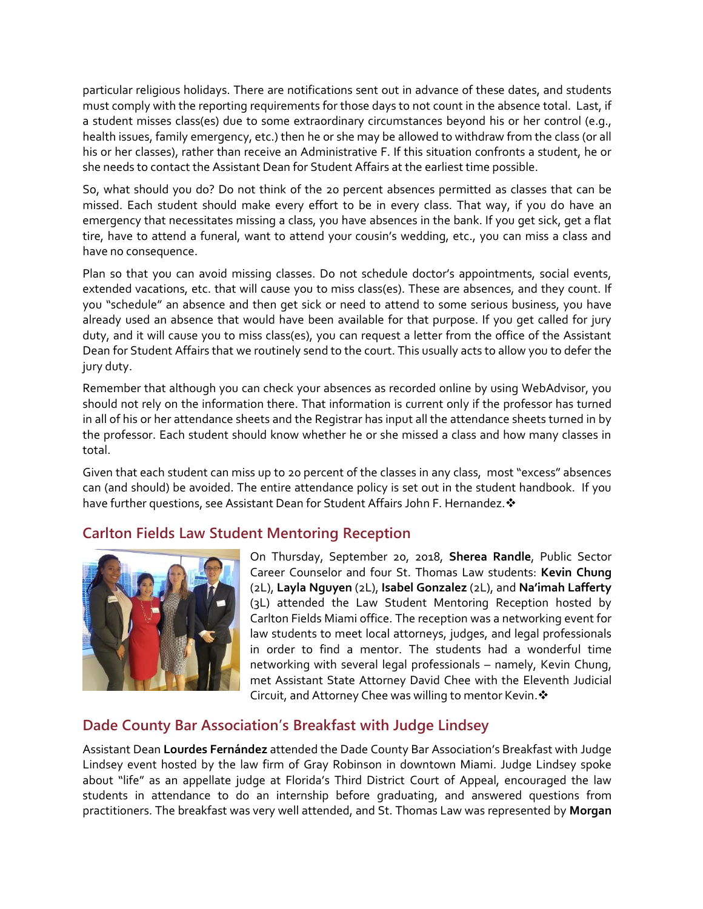particular religious holidays. There are notifications sent out in advance of these dates, and students must comply with the reporting requirements for those days to not count in the absence total. Last, if a student misses class(es) due to some extraordinary circumstances beyond his or her control (e.g., health issues, family emergency, etc.) then he or she may be allowed to withdraw from the class (or all his or her classes), rather than receive an Administrative F. If this situation confronts a student, he or she needs to contact the Assistant Dean for Student Affairs at the earliest time possible.

So, what should you do? Do not think of the 20 percent absences permitted as classes that can be missed. Each student should make every effort to be in every class. That way, if you do have an emergency that necessitates missing a class, you have absences in the bank. If you get sick, get a flat tire, have to attend a funeral, want to attend your cousin's wedding, etc., you can miss a class and have no consequence.

Plan so that you can avoid missing classes. Do not schedule doctor's appointments, social events, extended vacations, etc. that will cause you to miss class(es). These are absences, and they count. If you "schedule" an absence and then get sick or need to attend to some serious business, you have already used an absence that would have been available for that purpose. If you get called for jury duty, and it will cause you to miss class(es), you can request a letter from the office of the Assistant Dean for Student Affairs that we routinely send to the court. This usually acts to allow you to defer the jury duty.

Remember that although you can check your absences as recorded online by using WebAdvisor, you should not rely on the information there. That information is current only if the professor has turned in all of his or her attendance sheets and the Registrar has input all the attendance sheets turned in by the professor. Each student should know whether he or she missed a class and how many classes in total.

Given that each student can miss up to 20 percent of the classes in any class, most "excess" absences can (and should) be avoided. The entire attendance policy is set out in the student handbook. If you have further questions, see Assistant Dean for Student Affairs John F. Hernandez. ❖

### **Carlton Fields Law Student Mentoring Reception**



On Thursday, September 20, 2018, **Sherea Randle**, Public Sector Career Counselor and four St. Thomas Law students: **Kevin Chung** (2L), **Layla Nguyen** (2L), **Isabel Gonzalez** (2L), and **Na'imah Lafferty** (3L) attended the Law Student Mentoring Reception hosted by Carlton Fields Miami office. The reception was a networking event for law students to meet local attorneys, judges, and legal professionals in order to find a mentor. The students had a wonderful time networking with several legal professionals – namely, Kevin Chung, met Assistant State Attorney David Chee with the Eleventh Judicial Circuit, and Attorney Chee was willing to mentor Kevin. ❖

# **Dade County Bar Association's Breakfast with Judge Lindsey**

Assistant Dean **Lourdes Fernández** attended the Dade County Bar Association's Breakfast with Judge Lindsey event hosted by the law firm of Gray Robinson in downtown Miami. Judge Lindsey spoke about "life" as an appellate judge at Florida's Third District Court of Appeal, encouraged the law students in attendance to do an internship before graduating, and answered questions from practitioners. The breakfast was very well attended, and St. Thomas Law was represented by **Morgan**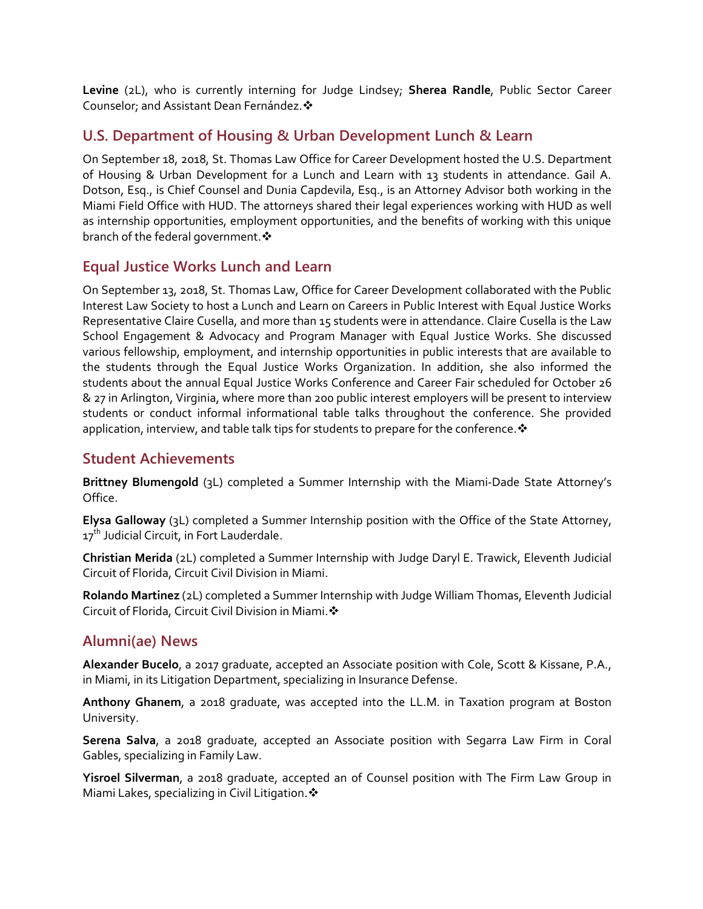**Levine** (2L), who is currently interning for Judge Lindsey; **Sherea Randle**, Public Sector Career Counselor; and Assistant Dean Fernández.

### **U.S. Department of Housing & Urban Development Lunch & Learn**

On September 18, 2018, St. Thomas Law Office for Career Development hosted the U.S. Department of Housing & Urban Development for a Lunch and Learn with 13 students in attendance. Gail A. Dotson, Esq., is Chief Counsel and Dunia Capdevila, Esq., is an Attorney Advisor both working in the Miami Field Office with HUD. The attorneys shared their legal experiences working with HUD as well as internship opportunities, employment opportunities, and the benefits of working with this unique branch of the federal government.

### **Equal Justice Works Lunch and Learn**

On September 13, 2018, St. Thomas Law, Office for Career Development collaborated with the Public Interest Law Society to host a Lunch and Learn on Careers in Public Interest with Equal Justice Works Representative Claire Cusella, and more than 15 students were in attendance. Claire Cusella is the Law School Engagement & Advocacy and Program Manager with Equal Justice Works. She discussed various fellowship, employment, and internship opportunities in public interests that are available to the students through the Equal Justice Works Organization. In addition, she also informed the students about the annual Equal Justice Works Conference and Career Fair scheduled for October 26 & 27 in Arlington, Virginia, where more than 200 public interest employers will be present to interview students or conduct informal informational table talks throughout the conference. She provided application, interview, and table talk tips for students to prepare for the conference.  $\mathbf{\hat{*}}$ 

### **Student Achievements**

**Brittney Blumengold** (3L) completed a Summer Internship with the Miami-Dade State Attorney's Office.

**Elysa Galloway** (3L) completed a Summer Internship position with the Office of the State Attorney, 17<sup>th</sup> Judicial Circuit, in Fort Lauderdale.

**Christian Merida** (2L) completed a Summer Internship with Judge Daryl E. Trawick, Eleventh Judicial Circuit of Florida, Circuit Civil Division in Miami.

**Rolando Martinez** (2L) completed a Summer Internship with Judge William Thomas, Eleventh Judicial Circuit of Florida, Circuit Civil Division in Miami.

# **Alumni(ae) News**

**Alexander Bucelo**, a 2017 graduate, accepted an Associate position with Cole, Scott & Kissane, P.A., in Miami, in its Litigation Department, specializing in Insurance Defense.

**Anthony Ghanem**, a 2018 graduate, was accepted into the LL.M. in Taxation program at Boston University.

**Serena Salva**, a 2018 graduate, accepted an Associate position with Segarra Law Firm in Coral Gables, specializing in Family Law.

**Yisroel Silverman**, a 2018 graduate, accepted an of Counsel position with The Firm Law Group in Miami Lakes, specializing in Civil Litigation. ❖